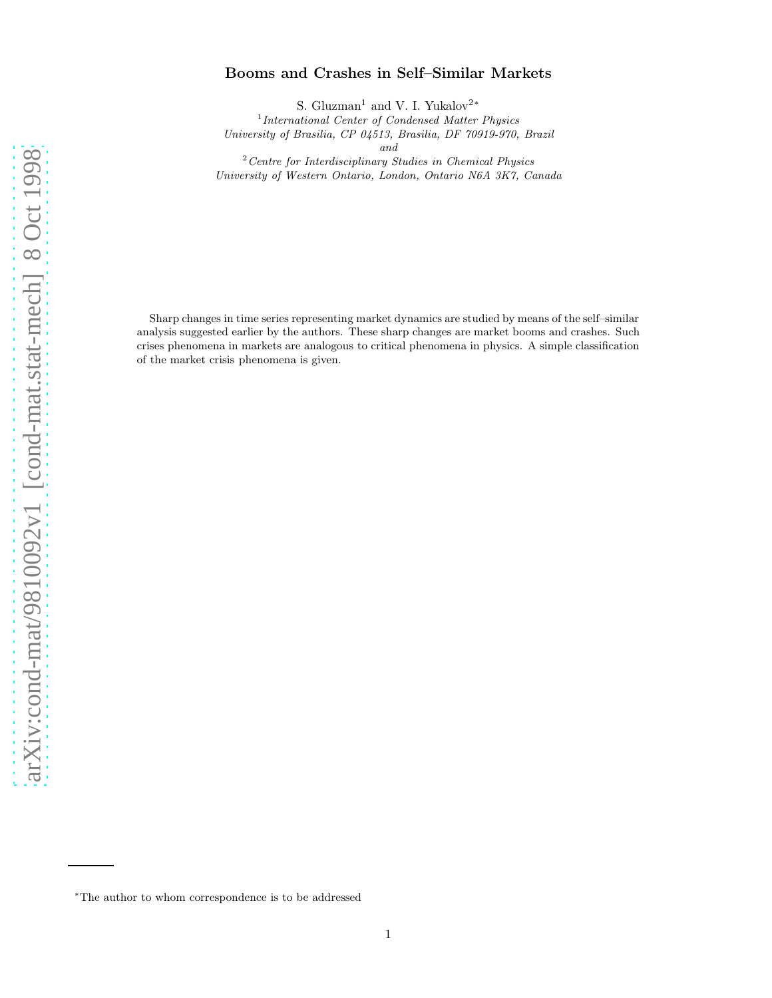# Booms and Crashes in Self–Similar Markets

S. Gluzman<sup>1</sup> and V. I. Yukalov<sup>2∗</sup>

1 *International Center of Condensed Matter Physics University of Brasilia, CP 04513, Brasilia, DF 70919-970, Brazil and*

<sup>2</sup>*Centre for Interdisciplinary Studies in Chemical Physics University of Western Ontario, London, Ontario N6A 3K7, Canada*

Sharp changes in time series representing market dynamics are studied by means of the self–similar analysis suggested earlier by the authors. These sharp changes are market booms and crashes. Such crises phenomena in markets are analogous to critical phenomena in physics. A simple classification of the market crisis phenomena is given.

<sup>∗</sup>The author to whom correspondence is to be addressed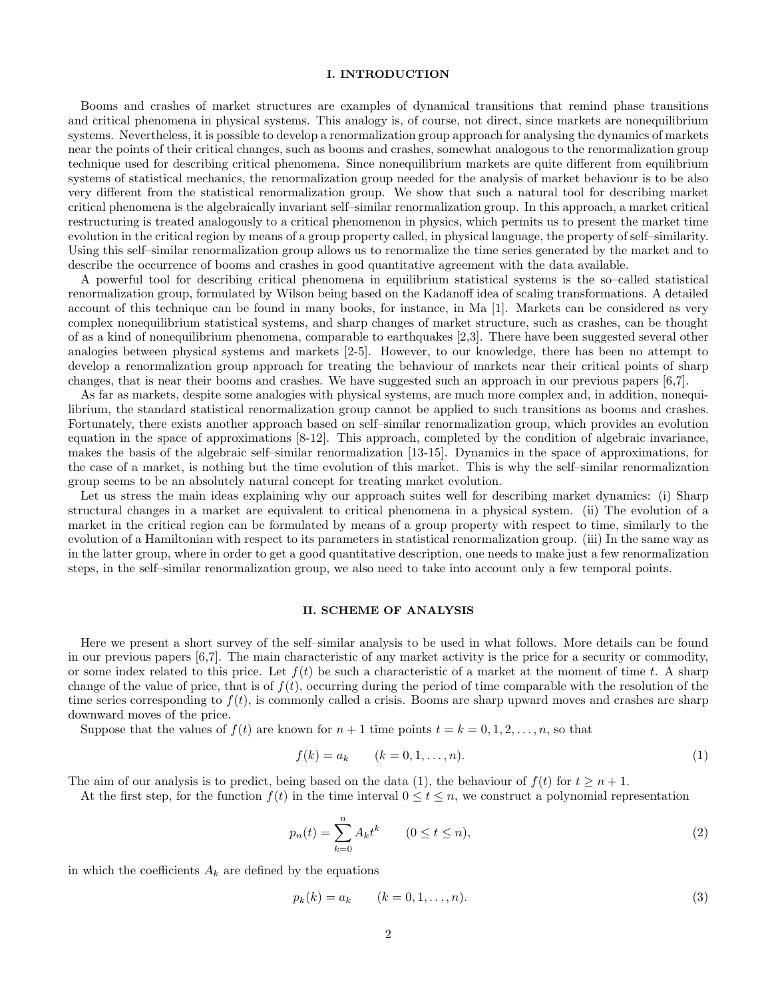## I. INTRODUCTION

Booms and crashes of market structures are examples of dynamical transitions that remind phase transitions and critical phenomena in physical systems. This analogy is, of course, not direct, since markets are nonequilibrium systems. Nevertheless, it is possible to develop a renormalization group approach for analysing the dynamics of markets near the points of their critical changes, such as booms and crashes, somewhat analogous to the renormalization group technique used for describing critical phenomena. Since nonequilibrium markets are quite different from equilibrium systems of statistical mechanics, the renormalization group needed for the analysis of market behaviour is to be also very different from the statistical renormalization group. We show that such a natural tool for describing market critical phenomena is the algebraically invariant self–similar renormalization group. In this approach, a market critical restructuring is treated analogously to a critical phenomenon in physics, which permits us to present the market time evolution in the critical region by means of a group property called, in physical language, the property of self–similarity. Using this self–similar renormalization group allows us to renormalize the time series generated by the market and to describe the occurrence of booms and crashes in good quantitative agreement with the data available.

A powerful tool for describing critical phenomena in equilibrium statistical systems is the so–called statistical renormalization group, formulated by Wilson being based on the Kadanoff idea of scaling transformations. A detailed account of this technique can be found in many books, for instance, in Ma [1]. Markets can be considered as very complex nonequilibrium statistical systems, and sharp changes of market structure, such as crashes, can be thought of as a kind of nonequilibrium phenomena, comparable to earthquakes [2,3]. There have been suggested several other analogies between physical systems and markets [2-5]. However, to our knowledge, there has been no attempt to develop a renormalization group approach for treating the behaviour of markets near their critical points of sharp changes, that is near their booms and crashes. We have suggested such an approach in our previous papers [6,7].

As far as markets, despite some analogies with physical systems, are much more complex and, in addition, nonequilibrium, the standard statistical renormalization group cannot be applied to such transitions as booms and crashes. Fortunately, there exists another approach based on self–similar renormalization group, which provides an evolution equation in the space of approximations [8-12]. This approach, completed by the condition of algebraic invariance, makes the basis of the algebraic self–similar renormalization [13-15]. Dynamics in the space of approximations, for the case of a market, is nothing but the time evolution of this market. This is why the self–similar renormalization group seems to be an absolutely natural concept for treating market evolution.

Let us stress the main ideas explaining why our approach suites well for describing market dynamics: (i) Sharp structural changes in a market are equivalent to critical phenomena in a physical system. (ii) The evolution of a market in the critical region can be formulated by means of a group property with respect to time, similarly to the evolution of a Hamiltonian with respect to its parameters in statistical renormalization group. (iii) In the same way as in the latter group, where in order to get a good quantitative description, one needs to make just a few renormalization steps, in the self–similar renormalization group, we also need to take into account only a few temporal points.

#### II. SCHEME OF ANALYSIS

Here we present a short survey of the self–similar analysis to be used in what follows. More details can be found in our previous papers [6,7]. The main characteristic of any market activity is the price for a security or commodity, or some index related to this price. Let  $f(t)$  be such a characteristic of a market at the moment of time t. A sharp change of the value of price, that is of  $f(t)$ , occurring during the period of time comparable with the resolution of the time series corresponding to  $f(t)$ , is commonly called a crisis. Booms are sharp upward moves and crashes are sharp downward moves of the price.

Suppose that the values of  $f(t)$  are known for  $n + 1$  time points  $t = k = 0, 1, 2, \ldots, n$ , so that

$$
f(k) = a_k \qquad (k = 0, 1, \dots, n). \tag{1}
$$

The aim of our analysis is to predict, being based on the data (1), the behaviour of  $f(t)$  for  $t \geq n+1$ .

At the first step, for the function  $f(t)$  in the time interval  $0 \le t \le n$ , we construct a polynomial representation

$$
p_n(t) = \sum_{k=0}^n A_k t^k \qquad (0 \le t \le n),
$$
\n<sup>(2)</sup>

in which the coefficients  $A_k$  are defined by the equations

$$
p_k(k) = a_k \qquad (k = 0, 1, \dots, n). \tag{3}
$$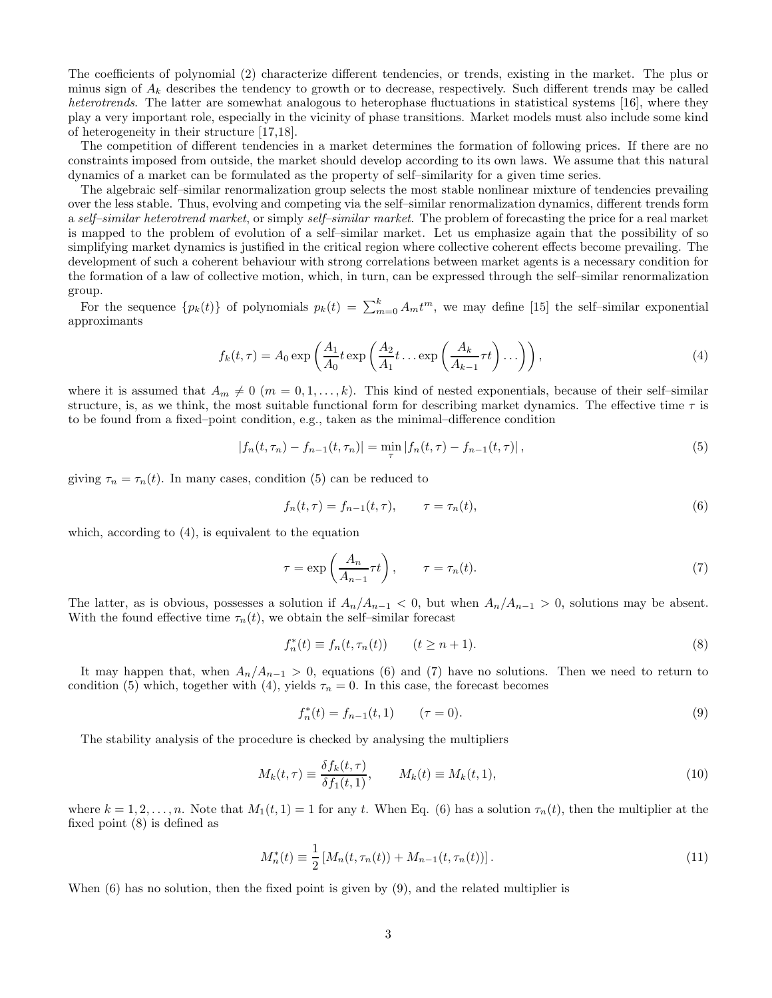The coefficients of polynomial (2) characterize different tendencies, or trends, existing in the market. The plus or minus sign of  $A_k$  describes the tendency to growth or to decrease, respectively. Such different trends may be called heterotrends. The latter are somewhat analogous to heterophase fluctuations in statistical systems [16], where they play a very important role, especially in the vicinity of phase transitions. Market models must also include some kind of heterogeneity in their structure [17,18].

The competition of different tendencies in a market determines the formation of following prices. If there are no constraints imposed from outside, the market should develop according to its own laws. We assume that this natural dynamics of a market can be formulated as the property of self–similarity for a given time series.

The algebraic self–similar renormalization group selects the most stable nonlinear mixture of tendencies prevailing over the less stable. Thus, evolving and competing via the self–similar renormalization dynamics, different trends form a self–similar heterotrend market, or simply self–similar market. The problem of forecasting the price for a real market is mapped to the problem of evolution of a self–similar market. Let us emphasize again that the possibility of so simplifying market dynamics is justified in the critical region where collective coherent effects become prevailing. The development of such a coherent behaviour with strong correlations between market agents is a necessary condition for the formation of a law of collective motion, which, in turn, can be expressed through the self–similar renormalization group.

For the sequence  ${p_k(t)}$  of polynomials  $p_k(t) = \sum_{m=0}^{k} A_m t^m$ , we may define [15] the self-similar exponential approximants

$$
f_k(t,\tau) = A_0 \exp\left(\frac{A_1}{A_0} t \exp\left(\frac{A_2}{A_1} t \dots \exp\left(\frac{A_k}{A_{k-1}} \tau t\right) \dots\right)\right),\tag{4}
$$

where it is assumed that  $A_m \neq 0$  ( $m = 0, 1, \ldots, k$ ). This kind of nested exponentials, because of their self-similar structure, is, as we think, the most suitable functional form for describing market dynamics. The effective time  $\tau$  is to be found from a fixed–point condition, e.g., taken as the minimal–difference condition

$$
|f_n(t, \tau_n) - f_{n-1}(t, \tau_n)| = \min_{\tau} |f_n(t, \tau) - f_{n-1}(t, \tau)|,
$$
\n(5)

giving  $\tau_n = \tau_n(t)$ . In many cases, condition (5) can be reduced to

$$
f_n(t,\tau) = f_{n-1}(t,\tau), \qquad \tau = \tau_n(t), \tag{6}
$$

which, according to (4), is equivalent to the equation

$$
\tau = \exp\left(\frac{A_n}{A_{n-1}}\tau t\right), \qquad \tau = \tau_n(t). \tag{7}
$$

The latter, as is obvious, possesses a solution if  $A_n/A_{n-1} < 0$ , but when  $A_n/A_{n-1} > 0$ , solutions may be absent. With the found effective time  $\tau_n(t)$ , we obtain the self-similar forecast

$$
f_n^*(t) \equiv f_n(t, \tau_n(t)) \qquad (t \ge n+1). \tag{8}
$$

It may happen that, when  $A_n/A_{n-1} > 0$ , equations (6) and (7) have no solutions. Then we need to return to condition (5) which, together with (4), yields  $\tau_n = 0$ . In this case, the forecast becomes

$$
f_n^*(t) = f_{n-1}(t, 1) \qquad (\tau = 0). \tag{9}
$$

The stability analysis of the procedure is checked by analysing the multipliers

$$
M_k(t,\tau) \equiv \frac{\delta f_k(t,\tau)}{\delta f_1(t,1)}, \qquad M_k(t) \equiv M_k(t,1), \tag{10}
$$

where  $k = 1, 2, ..., n$ . Note that  $M_1(t, 1) = 1$  for any t. When Eq. (6) has a solution  $\tau_n(t)$ , then the multiplier at the fixed point (8) is defined as

$$
M_n^*(t) \equiv \frac{1}{2} \left[ M_n(t, \tau_n(t)) + M_{n-1}(t, \tau_n(t)) \right]. \tag{11}
$$

When (6) has no solution, then the fixed point is given by (9), and the related multiplier is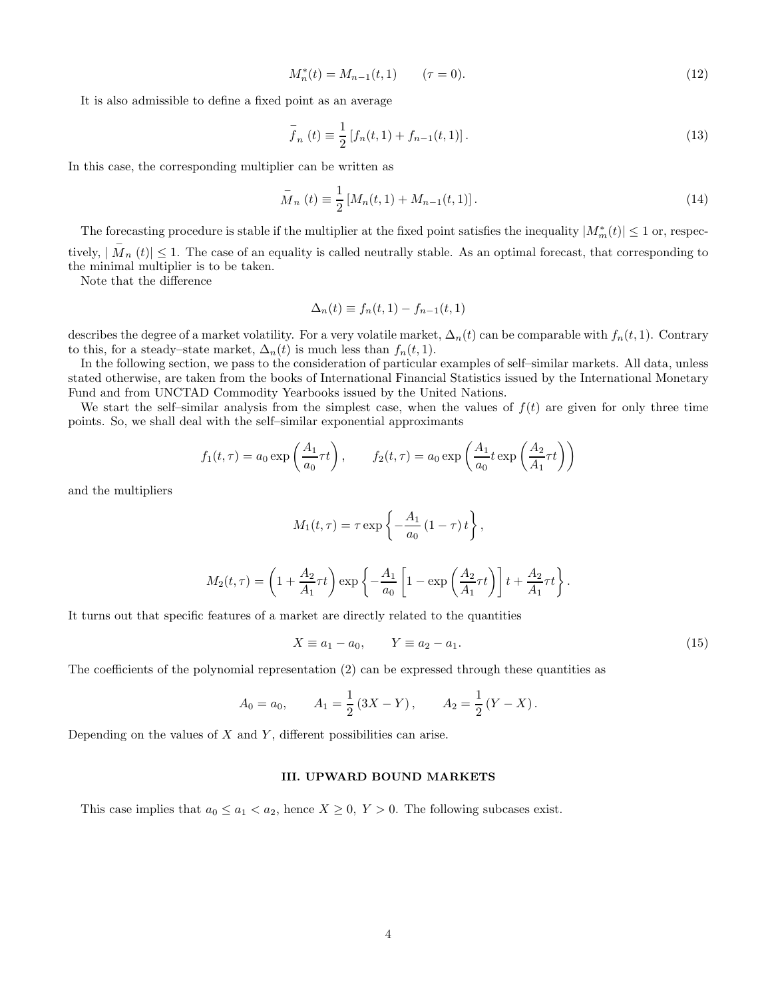$$
M_n^*(t) = M_{n-1}(t, 1) \qquad (\tau = 0). \tag{12}
$$

It is also admissible to define a fixed point as an average

$$
\bar{f}_n(t) \equiv \frac{1}{2} \left[ f_n(t,1) + f_{n-1}(t,1) \right]. \tag{13}
$$

In this case, the corresponding multiplier can be written as

$$
\bar{M}_n(t) \equiv \frac{1}{2} \left[ M_n(t,1) + M_{n-1}(t,1) \right]. \tag{14}
$$

The forecasting procedure is stable if the multiplier at the fixed point satisfies the inequality  $|M_m^*(t)| \leq 1$  or, respectively,  $|\bar{M}_n(t)| \leq 1$ . The case of an equality is called neutrally stable. As an optimal forecast, that corresponding to the minimal multiplier is to be taken.

Note that the difference

$$
\Delta_n(t) \equiv f_n(t,1) - f_{n-1}(t,1)
$$

describes the degree of a market volatility. For a very volatile market,  $\Delta_n(t)$  can be comparable with  $f_n(t, 1)$ . Contrary to this, for a steady–state market,  $\Delta_n(t)$  is much less than  $f_n(t, 1)$ .

In the following section, we pass to the consideration of particular examples of self–similar markets. All data, unless stated otherwise, are taken from the books of International Financial Statistics issued by the International Monetary Fund and from UNCTAD Commodity Yearbooks issued by the United Nations.

We start the self–similar analysis from the simplest case, when the values of  $f(t)$  are given for only three time points. So, we shall deal with the self–similar exponential approximants

$$
f_1(t,\tau) = a_0 \exp\left(\frac{A_1}{a_0}\tau t\right), \qquad f_2(t,\tau) = a_0 \exp\left(\frac{A_1}{a_0}t \exp\left(\frac{A_2}{A_1}\tau t\right)\right)
$$

and the multipliers

$$
M_1(t,\tau) = \tau \exp\left\{-\frac{A_1}{a_0}(1-\tau)t\right\},\,
$$

$$
M_2(t,\tau) = \left(1 + \frac{A_2}{A_1} \tau t\right) \exp\left\{-\frac{A_1}{a_0} \left[1 - \exp\left(\frac{A_2}{A_1} \tau t\right)\right]t + \frac{A_2}{A_1} \tau t\right\}
$$

It turns out that specific features of a market are directly related to the quantities

$$
X \equiv a_1 - a_0, \qquad Y \equiv a_2 - a_1. \tag{15}
$$

.

The coefficients of the polynomial representation (2) can be expressed through these quantities as

$$
A_0 = a_0,
$$
  $A_1 = \frac{1}{2}(3X - Y),$   $A_2 = \frac{1}{2}(Y - X).$ 

Depending on the values of  $X$  and  $Y$ , different possibilities can arise.

## III. UPWARD BOUND MARKETS

This case implies that  $a_0 \le a_1 < a_2$ , hence  $X \ge 0$ ,  $Y > 0$ . The following subcases exist.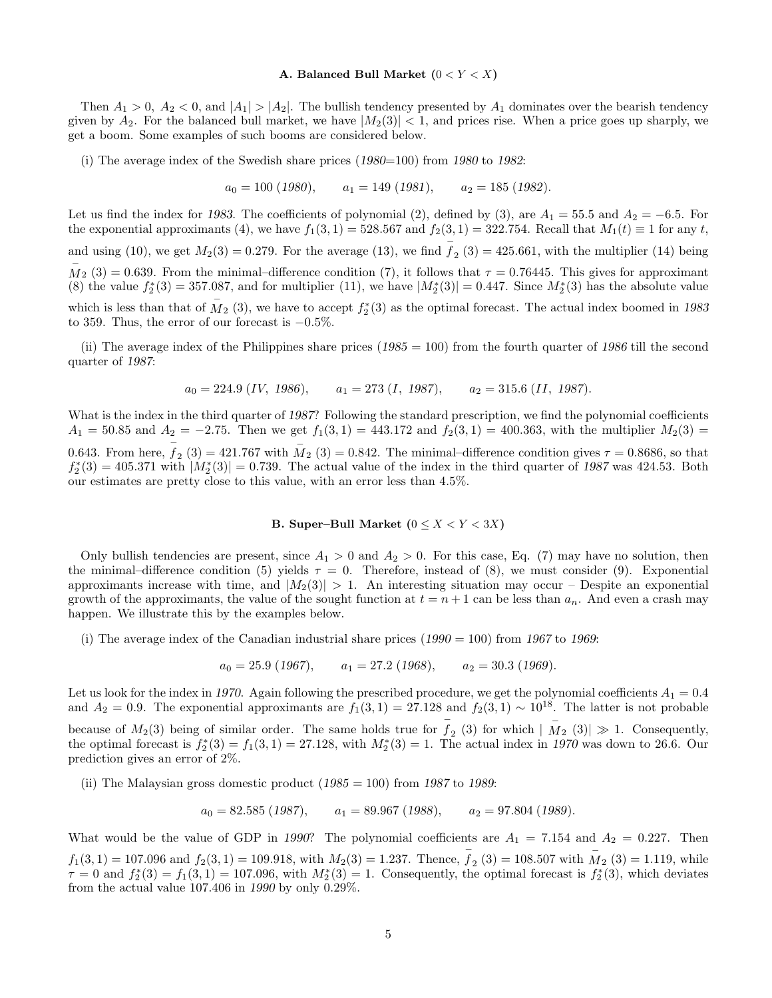## A. Balanced Bull Market  $(0 < Y < X)$

Then  $A_1 > 0$ ,  $A_2 < 0$ , and  $|A_1| > |A_2|$ . The bullish tendency presented by  $A_1$  dominates over the bearish tendency given by  $A_2$ . For the balanced bull market, we have  $|M_2(3)| < 1$ , and prices rise. When a price goes up sharply, we get a boom. Some examples of such booms are considered below.

(i) The average index of the Swedish share prices  $(1980=100)$  from 1980 to 1982:

$$
a_0 = 100
$$
 (1980),  $a_1 = 149$  (1981),  $a_2 = 185$  (1982).

Let us find the index for 1983. The coefficients of polynomial (2), defined by (3), are  $A_1 = 55.5$  and  $A_2 = -6.5$ . For the exponential approximants (4), we have  $f_1(3, 1) = 528.567$  and  $f_2(3, 1) = 322.754$ . Recall that  $M_1(t) \equiv 1$  for any t, −

and using (10), we get  $M_2(3) = 0.279$ . For the average (13), we find  $f_2(3) = 425.661$ , with the multiplier (14) being −  $M_2$  (3) = 0.639. From the minimal–difference condition (7), it follows that  $\tau = 0.76445$ . This gives for approximant (8) the value  $f_2^*(3) = 357.087$ , and for multiplier (11), we have  $|M_2^*(3)| = 0.447$ . Since  $M_2^*(3)$  has the absolute value which is less than that of  $M_2$  (3), we have to accept  $f_2^*(3)$  as the optimal forecast. The actual index boomed in 1983 to 359. Thus, the error of our forecast is  $-0.5\%$ .

(ii) The average index of the Philippines share prices  $(1985 = 100)$  from the fourth quarter of 1986 till the second quarter of 1987:

$$
a_0 = 224.9
$$
 (IV, 1986),  $a_1 = 273$  (I, 1987),  $a_2 = 315.6$  (II, 1987).

What is the index in the third quarter of 1987? Following the standard prescription, we find the polynomial coefficients  $A_1 = 50.85$  and  $A_2 = -2.75$ . Then we get  $f_1(3,1) = 443.172$  and  $f_2(3,1) = 400.363$ , with the multiplier  $M_2(3) =$ 0.643. From here,  $\bar{f}_2(3) = 421.767$  with  $\bar{M}_2(3) = 0.842$ . The minimal-difference condition gives  $\tau = 0.8686$ , so that −  $f_2^*(3) = 405.371$  with  $|M_2^*(3)| = 0.739$ . The actual value of the index in the third quarter of 1987 was 424.53. Both our estimates are pretty close to this value, with an error less than 4.5%.

#### B. Super–Bull Market  $(0 \le X < Y < 3X)$

Only bullish tendencies are present, since  $A_1 > 0$  and  $A_2 > 0$ . For this case, Eq. (7) may have no solution, then the minimal–difference condition (5) yields  $\tau = 0$ . Therefore, instead of (8), we must consider (9). Exponential approximants increase with time, and  $|M_2(3)| > 1$ . An interesting situation may occur – Despite an exponential growth of the approximants, the value of the sought function at  $t = n + 1$  can be less than  $a_n$ . And even a crash may happen. We illustrate this by the examples below.

(i) The average index of the Canadian industrial share prices  $(1990 = 100)$  from 1967 to 1969:

$$
a_0 = 25.9
$$
 (1967),  $a_1 = 27.2$  (1968),  $a_2 = 30.3$  (1969).

Let us look for the index in 1970. Again following the prescribed procedure, we get the polynomial coefficients  $A_1 = 0.4$ and  $A_2 = 0.9$ . The exponential approximants are  $f_1(3,1) = 27.128$  and  $f_2(3,1) \sim 10^{18}$ . The latter is not probable because of  $M_2(3)$  being of similar order. The same holds true for  $\overline{f}_2$  (3) for which  $|\overline{M}_2$  (3)  $|\gg 1$ . Consequently, the optimal forecast is  $f_2^*(3) = f_1(3, 1) = 27.128$ , with  $M_2^*(3) = 1$ . The actual index in 1970 was down to 26.6. Our prediction gives an error of 2%.

(ii) The Malaysian gross domestic product  $(1985 = 100)$  from 1987 to 1989:

 $a_0 = 82.585$  (1987),  $a_1 = 89.967$  (1988),  $a_2 = 97.804$  (1989).

What would be the value of GDP in 1990? The polynomial coefficients are  $A_1 = 7.154$  and  $A_2 = 0.227$ . Then  $f_1(3, 1) = 107.096$  and  $f_2(3, 1) = 109.918$ , with  $M_2(3) = 1.237$ . Thence,  $\overline{f}_2(3) = 108.507$  with  $\overline{M}_2(3) = 1.119$ , while  $\tau = 0$  and  $f_2^*(3) = f_1(3, 1) = 107.096$ , with  $M_2^*(3) = 1$ . Consequently, the optimal forecast is  $f_2^*(3)$ , which deviates from the actual value 107.406 in 1990 by only 0.29%.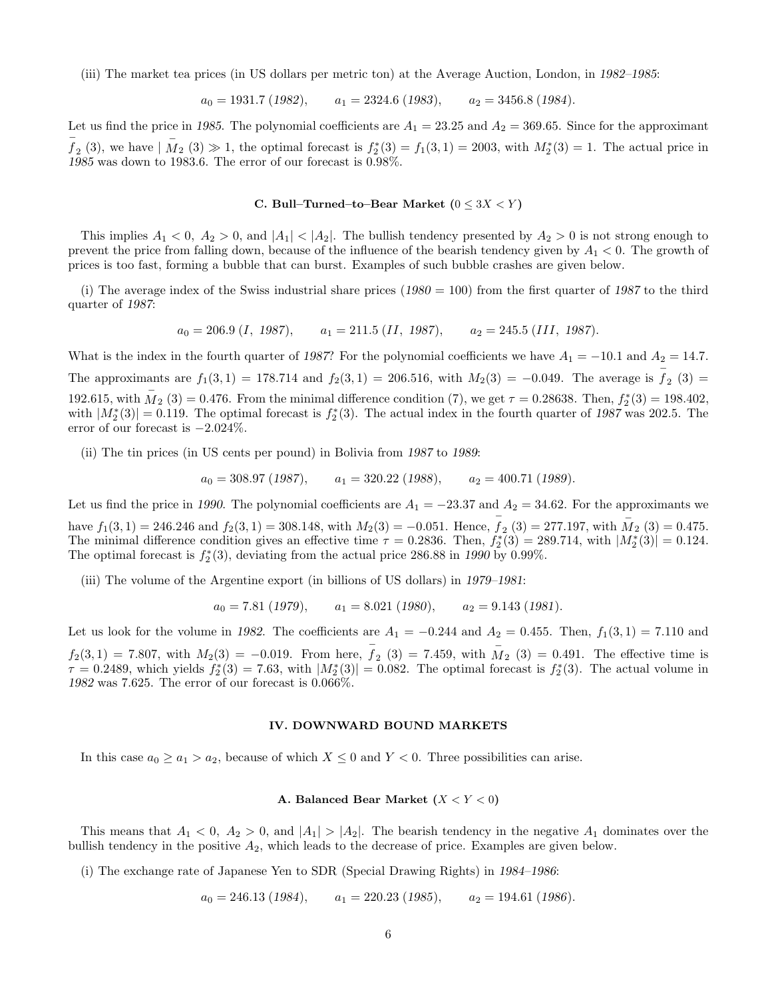(iii) The market tea prices (in US dollars per metric ton) at the Average Auction, London, in 1982–1985:

$$
a_0 = 1931.7 (1982),
$$
  $a_1 = 2324.6 (1983),$   $a_2 = 3456.8 (1984).$ 

Let us find the price in 1985. The polynomial coefficients are  $A_1 = 23.25$  and  $A_2 = 369.65$ . Since for the approximant  $f_2(3)$ , we have  $|\bar{M}_2(3) \gg 1$ , the optimal forecast is  $f_2^*(3) = f_1(3, 1) = 2003$ , with  $M_2^*(3) = 1$ . The actual price in 1985 was down to 1983.6. The error of our forecast is 0.98%.

## C. Bull–Turned–to–Bear Market  $(0 \leq 3X < Y)$

This implies  $A_1 < 0$ ,  $A_2 > 0$ , and  $|A_1| < |A_2|$ . The bullish tendency presented by  $A_2 > 0$  is not strong enough to prevent the price from falling down, because of the influence of the bearish tendency given by  $A_1 < 0$ . The growth of prices is too fast, forming a bubble that can burst. Examples of such bubble crashes are given below.

(i) The average index of the Swiss industrial share prices  $(1980 = 100)$  from the first quarter of 1987 to the third quarter of 1987:

$$
a_0 = 206.9
$$
 (I, 1987),  $a_1 = 211.5$  (II, 1987),  $a_2 = 245.5$  (III, 1987).

What is the index in the fourth quarter of 1987? For the polynomial coefficients we have  $A_1 = -10.1$  and  $A_2 = 14.7$ . The approximants are  $f_1(3,1) = 178.714$  and  $f_2(3,1) = 206.516$ , with  $M_2(3) = -0.049$ . The average is  $f_2(3) =$ 192.615, with  $\overline{M}_2$  (3) = 0.476. From the minimal difference condition (7), we get  $\tau = 0.28638$ . Then,  $f_2^*(3) = 198.402$ , with  $|M_2^*(3)| = 0.119$ . The optimal forecast is  $f_2^*(3)$ . The actual index in the fourth quarter of 1987 was 202.5. The error of our forecast is −2.024%.

(ii) The tin prices (in US cents per pound) in Bolivia from 1987 to 1989:

$$
a_0 = 308.97 (1987),
$$
  $a_1 = 320.22 (1988),$   $a_2 = 400.71 (1989).$ 

Let us find the price in 1990. The polynomial coefficients are  $A_1 = -23.37$  and  $A_2 = 34.62$ . For the approximants we have  $f_1(3, 1) = 246.246$  and  $f_2(3, 1) = 308.148$ , with  $M_2(3) = -0.051$ . Hence,  $\overline{f}_2(3) = 277.197$ , with  $\overline{M}_2(3) = 0.475$ . The minimal difference condition gives an effective time  $\tau = 0.2836$ . Then,  $f_2^*(3) = 289.714$ , with  $|M_2^*(3)| = 0.124$ . The optimal forecast is  $f_2^*(3)$ , deviating from the actual price 286.88 in 1990 by 0.99%.

(iii) The volume of the Argentine export (in billions of US dollars) in 1979–1981:

$$
a_0 = 7.81 (1979),
$$
  $a_1 = 8.021 (1980),$   $a_2 = 9.143 (1981).$ 

Let us look for the volume in 1982. The coefficients are  $A_1 = -0.244$  and  $A_2 = 0.455$ . Then,  $f_1(3,1) = 7.110$  and  $f_2(3, 1) = 7.807$ , with  $M_2(3) = -0.019$ . From here, −  $f_2$  (3) = 7.459, with  $\bar{M}_2$  (3) = 0.491. The effective time is  $\tau = 0.2489$ , which yields  $f_2^*(3) = 7.63$ , with  $|M_2^*(3)| = 0.082$ . The optimal forecast is  $f_2^*(3)$ . The actual volume in 1982 was 7.625. The error of our forecast is 0.066%.

#### IV. DOWNWARD BOUND MARKETS

In this case  $a_0 \ge a_1 > a_2$ , because of which  $X \le 0$  and  $Y < 0$ . Three possibilities can arise.

#### A. Balanced Bear Market  $(X < Y < 0)$

This means that  $A_1 < 0$ ,  $A_2 > 0$ , and  $|A_1| > |A_2|$ . The bearish tendency in the negative  $A_1$  dominates over the bullish tendency in the positive  $A_2$ , which leads to the decrease of price. Examples are given below.

(i) The exchange rate of Japanese Yen to SDR (Special Drawing Rights) in 1984–1986:

$$
a_0 = 246.13
$$
 (1984),  $a_1 = 220.23$  (1985),  $a_2 = 194.61$  (1986).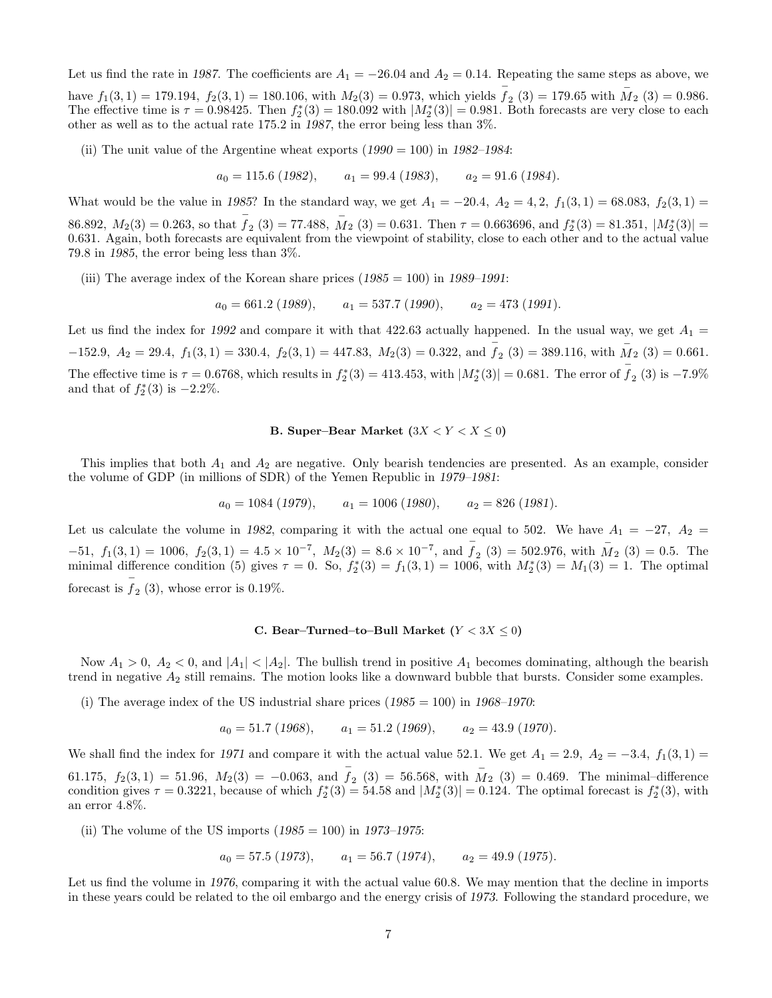Let us find the rate in 1987. The coefficients are  $A_1 = -26.04$  and  $A_2 = 0.14$ . Repeating the same steps as above, we have  $f_1(3,1) = 179.194$ ,  $f_2(3,1) = 180.106$ , with  $M_2(3) = 0.973$ , which yields  $f_2(3) = 179.65$  with  $M_2(3) = 0.986$ . The effective time is  $\tau = 0.98425$ . Then  $f_2^*(3) = 180.092$  with  $|M_2^*(3)| = 0.981$ . Both forecasts are very close to each other as well as to the actual rate 175.2 in 1987, the error being less than 3%.

(ii) The unit value of the Argentine wheat exports  $(1990 = 100)$  in 1982–1984:

$$
a_0 = 115.6
$$
 (1982),  $a_1 = 99.4$  (1983),  $a_2 = 91.6$  (1984).

What would be the value in 1985? In the standard way, we get  $A_1 = -20.4$ ,  $A_2 = 4, 2$ ,  $f_1(3, 1) = 68.083$ ,  $f_2(3, 1) =$ 86.892,  $M_2(3) = 0.263$ , so that −  $f_2$  (3) = 77.488,  $M_2$  (3) = 0.631. Then  $\tau = 0.663696$ , and  $f_2^*(3) = 81.351$ ,  $|M_2^*(3)| =$ 0.631. Again, both forecasts are equivalent from the viewpoint of stability, close to each other and to the actual value

79.8 in 1985, the error being less than 3%.

(iii) The average index of the Korean share prices  $(1985 = 100)$  in  $1989-1991$ :

 $a_0 = 661.2$  (1989),  $a_1 = 537.7$  (1990),  $a_2 = 473$  (1991).

Let us find the index for 1992 and compare it with that 422.63 actually happened. In the usual way, we get  $A_1 =$  $-152.9, A_2 = 29.4, f_1(3,1) = 330.4, f_2(3,1) = 447.83, M_2(3) = 0.322, \text{ and } f_2(3) = 389.116, \text{ with } \overline{M_2}(3) = 0.661.$ − The effective time is  $\tau = 0.6768$ , which results in  $f_2^*(3) = 413.453$ , with  $|M_2^*(3)| = 0.681$ . The error of  $f_2(3)$  is  $-7.9\%$ and that of  $f_2^*(3)$  is  $-2.2\%$ .

#### B. Super–Bear Market  $(3X < Y < X \le 0)$

This implies that both  $A_1$  and  $A_2$  are negative. Only bearish tendencies are presented. As an example, consider the volume of GDP (in millions of SDR) of the Yemen Republic in 1979–1981:

$$
a_0 = 1084 (1979),
$$
  $a_1 = 1006 (1980),$   $a_2 = 826 (1981).$ 

Let us calculate the volume in 1982, comparing it with the actual one equal to 502. We have  $A_1 = -27$ ,  $A_2 =$  $-51, f_1(3,1) = 1006, f_2(3,1) = 4.5 \times 10^{-7}, M_2(3) = 8.6 \times 10^{-7}$ , and −  $f_2$  (3) = 502.976, with  $M_2$  (3) = 0.5. The minimal difference condition (5) gives  $\tau = 0$ . So,  $f_2^*(3) = f_1(3, 1) = 1006$ , with  $M_2^*(3) = M_1(3) = 1$ . The optimal forecast is  $f_2(3)$ , whose error is 0.19%.

#### C. Bear–Turned–to–Bull Market  $(Y < 3X \leq 0)$

Now  $A_1 > 0$ ,  $A_2 < 0$ , and  $|A_1| < |A_2|$ . The bullish trend in positive  $A_1$  becomes dominating, although the bearish trend in negative  $A_2$  still remains. The motion looks like a downward bubble that bursts. Consider some examples.

(i) The average index of the US industrial share prices  $(1985 = 100)$  in  $1968-1970$ :

 $a_0 = 51.7 \ (1968), \qquad a_1 = 51.2 \ (1969), \qquad a_2 = 43.9 \ (1970).$ 

We shall find the index for 1971 and compare it with the actual value 52.1. We get  $A_1 = 2.9$ ,  $A_2 = -3.4$ ,  $f_1(3, 1) =$ 61.175,  $f_2(3,1) = 51.96$ ,  $M_2(3) = -0.063$ , and −  $f_2$  (3) = 56.568, with  $M_2$  (3) = 0.469. The minimal-difference condition gives  $\tau = 0.3221$ , because of which  $f_2^*(3) = 54.58$  and  $|M_2^*(3)| = 0.124$ . The optimal forecast is  $f_2^*(3)$ , with an error 4.8%.

(ii) The volume of the US imports  $(1985 = 100)$  in 1973–1975:

$$
a_0 = 57.5
$$
 (1973),  $a_1 = 56.7$  (1974),  $a_2 = 49.9$  (1975).

Let us find the volume in 1976, comparing it with the actual value 60.8. We may mention that the decline in imports in these years could be related to the oil embargo and the energy crisis of 1973. Following the standard procedure, we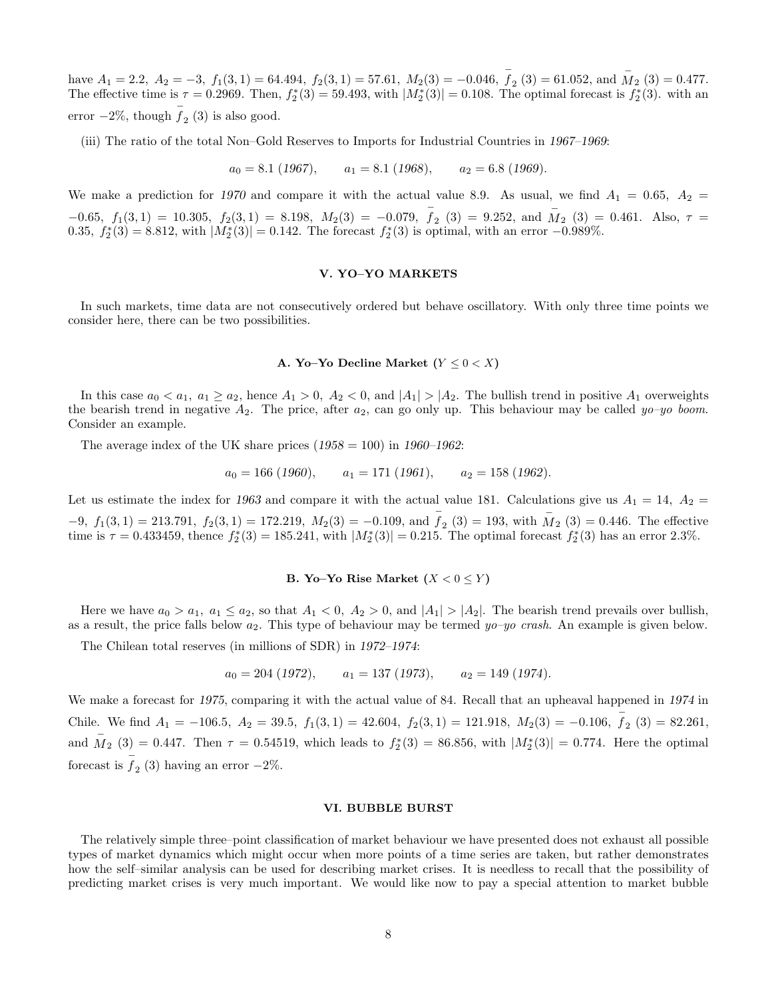have  $A_1 = 2.2$ ,  $A_2 = -3$ ,  $f_1(3, 1) = 64.494$ ,  $f_2(3, 1) = 57.61$ ,  $M_2(3) = -0.046$ ,  $f_2$  (3) = 61.052, and  $M_2$  (3) = 0.477. The effective time is  $\tau = 0.2969$ . Then,  $f_2^*(3) = 59.493$ , with  $|M_2^*(3)| = 0.108$ . The optimal forecast is  $f_2^*(3)$ , with an error  $-2\%$ , though  $f_2(3)$  is also good.

−

(iii) The ratio of the total Non–Gold Reserves to Imports for Industrial Countries in 1967–1969:

$$
a_0 = 8.1 (1967),
$$
  $a_1 = 8.1 (1968),$   $a_2 = 6.8 (1969).$ 

We make a prediction for 1970 and compare it with the actual value 8.9. As usual, we find  $A_1 = 0.65, A_2 =$  $-0.65, f_1(3,1) = 10.305, f_2(3,1) = 8.198, M_2(3) = -0.079,$ −  $f_2$  (3) = 9.252, and  $\overline{M}_2$  (3) = 0.461. Also,  $\tau$  = 0.35,  $f_2^*(3) = 8.812$ , with  $|M_2^*(3)| = 0.142$ . The forecast  $f_2^*(3)$  is optimal, with an error -0.989%.

#### V. YO–YO MARKETS

In such markets, time data are not consecutively ordered but behave oscillatory. With only three time points we consider here, there can be two possibilities.

#### A. Yo–Yo Decline Market  $(Y < 0 < X)$

In this case  $a_0 < a_1$ ,  $a_1 \ge a_2$ , hence  $A_1 > 0$ ,  $A_2 < 0$ , and  $|A_1| > |A_2|$ . The bullish trend in positive  $A_1$  overweights the bearish trend in negative  $A_2$ . The price, after  $a_2$ , can go only up. This behaviour may be called yo–yo boom. Consider an example.

The average index of the UK share prices  $(1958 = 100)$  in  $1960-1962$ :

$$
a_0 = 166 (1960),
$$
  $a_1 = 171 (1961),$   $a_2 = 158 (1962).$ 

Let us estimate the index for 1963 and compare it with the actual value 181. Calculations give us  $A_1 = 14$ ,  $A_2 =$  $-9, f_1(3, 1) = 213.791, f_2(3, 1) = 172.219, M_2(3) = -0.109$ , and −  $f_2$  (3) = 193, with  $M_2$  (3) = 0.446. The effective time is  $\tau = 0.433459$ , thence  $f_2^*(3) = 185.241$ , with  $|M_2^*(3)| = 0.215$ . The optimal forecast  $f_2^*(3)$  has an error 2.3%.

#### B. Yo–Yo Rise Market  $(X < 0 < Y)$

Here we have  $a_0 > a_1, a_1 \le a_2$ , so that  $A_1 < 0, A_2 > 0$ , and  $|A_1| > |A_2|$ . The bearish trend prevails over bullish, as a result, the price falls below  $a_2$ . This type of behaviour may be termed yo–yo crash. An example is given below.

The Chilean total reserves (in millions of SDR) in 1972–1974:

$$
a_0 = 204 (1972),
$$
  $a_1 = 137 (1973),$   $a_2 = 149 (1974).$ 

We make a forecast for 1975, comparing it with the actual value of 84. Recall that an upheaval happened in 1974 in Chile. We find  $A_1 = -106.5$ ,  $A_2 = 39.5$ ,  $f_1(3, 1) = 42.604$ ,  $f_2(3, 1) = 121.918$ ,  $M_2(3) = -0.106$ , <u>้</u>  $f_2(3) = 82.261,$ and  $M_2$  (3) = 0.447. Then  $\tau = 0.54519$ , which leads to  $f_2^*(3) = 86.856$ , with  $|M_2^*(3)| = 0.774$ . Here the optimal forecast is  $f_2(3)$  having an error  $-2\%$ .

#### VI. BUBBLE BURST

The relatively simple three–point classification of market behaviour we have presented does not exhaust all possible types of market dynamics which might occur when more points of a time series are taken, but rather demonstrates how the self–similar analysis can be used for describing market crises. It is needless to recall that the possibility of predicting market crises is very much important. We would like now to pay a special attention to market bubble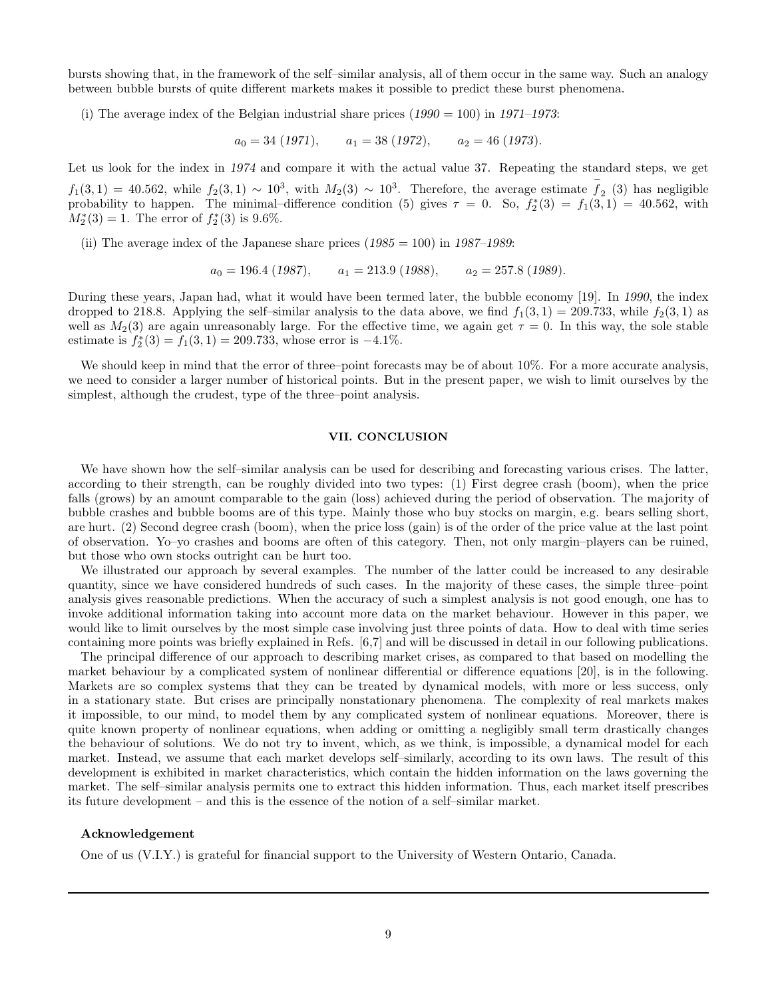bursts showing that, in the framework of the self–similar analysis, all of them occur in the same way. Such an analogy between bubble bursts of quite different markets makes it possible to predict these burst phenomena.

(i) The average index of the Belgian industrial share prices  $(1990 = 100)$  in 1971–1973:

$$
a_0 = 34 (1971),
$$
  $a_1 = 38 (1972),$   $a_2 = 46 (1973).$ 

Let us look for the index in 1974 and compare it with the actual value 37. Repeating the standard steps, we get −

 $f_1(3,1) = 40.562$ , while  $f_2(3,1) \sim 10^3$ , with  $M_2(3) \sim 10^3$ . Therefore, the average estimate  $f_2$  (3) has negligible probability to happen. The minimal–difference condition (5) gives  $\tau = 0$ . So,  $f_2^*(3) = f_1(3,1) = 40.562$ , with  $M_2^*(3) = 1.$  The error of  $f_2^*(3)$  is 9.6%.

(ii) The average index of the Japanese share prices  $(1985 = 100)$  in 1987–1989:

$$
a_0 = 196.4
$$
 (1987),  $a_1 = 213.9$  (1988),  $a_2 = 257.8$  (1989).

During these years, Japan had, what it would have been termed later, the bubble economy [19]. In 1990, the index dropped to 218.8. Applying the self–similar analysis to the data above, we find  $f_1(3,1) = 209.733$ , while  $f_2(3,1)$  as well as  $M_2(3)$  are again unreasonably large. For the effective time, we again get  $\tau = 0$ . In this way, the sole stable estimate is  $f_2^*(3) = f_1(3, 1) = 209.733$ , whose error is -4.1%.

We should keep in mind that the error of three–point forecasts may be of about 10%. For a more accurate analysis, we need to consider a larger number of historical points. But in the present paper, we wish to limit ourselves by the simplest, although the crudest, type of the three–point analysis.

## VII. CONCLUSION

We have shown how the self-similar analysis can be used for describing and forecasting various crises. The latter, according to their strength, can be roughly divided into two types: (1) First degree crash (boom), when the price falls (grows) by an amount comparable to the gain (loss) achieved during the period of observation. The majority of bubble crashes and bubble booms are of this type. Mainly those who buy stocks on margin, e.g. bears selling short, are hurt. (2) Second degree crash (boom), when the price loss (gain) is of the order of the price value at the last point of observation. Yo–yo crashes and booms are often of this category. Then, not only margin–players can be ruined, but those who own stocks outright can be hurt too.

We illustrated our approach by several examples. The number of the latter could be increased to any desirable quantity, since we have considered hundreds of such cases. In the majority of these cases, the simple three–point analysis gives reasonable predictions. When the accuracy of such a simplest analysis is not good enough, one has to invoke additional information taking into account more data on the market behaviour. However in this paper, we would like to limit ourselves by the most simple case involving just three points of data. How to deal with time series containing more points was briefly explained in Refs. [6,7] and will be discussed in detail in our following publications.

The principal difference of our approach to describing market crises, as compared to that based on modelling the market behaviour by a complicated system of nonlinear differential or difference equations [20], is in the following. Markets are so complex systems that they can be treated by dynamical models, with more or less success, only in a stationary state. But crises are principally nonstationary phenomena. The complexity of real markets makes it impossible, to our mind, to model them by any complicated system of nonlinear equations. Moreover, there is quite known property of nonlinear equations, when adding or omitting a negligibly small term drastically changes the behaviour of solutions. We do not try to invent, which, as we think, is impossible, a dynamical model for each market. Instead, we assume that each market develops self–similarly, according to its own laws. The result of this development is exhibited in market characteristics, which contain the hidden information on the laws governing the market. The self–similar analysis permits one to extract this hidden information. Thus, each market itself prescribes its future development – and this is the essence of the notion of a self–similar market.

## Acknowledgement

One of us (V.I.Y.) is grateful for financial support to the University of Western Ontario, Canada.